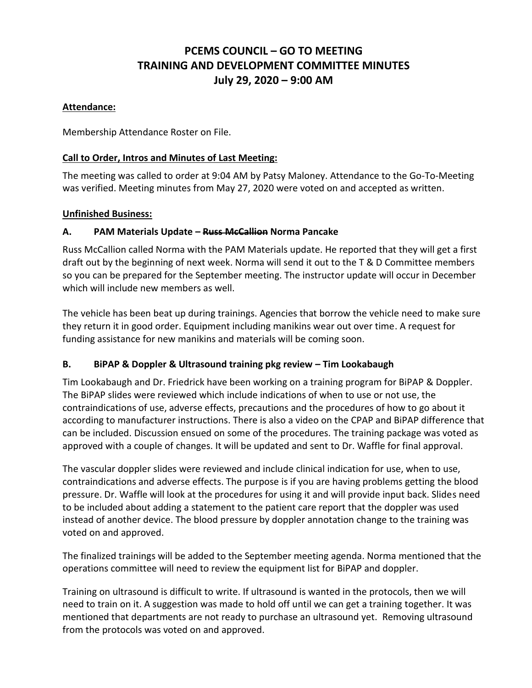# **PCEMS COUNCIL – GO TO MEETING TRAINING AND DEVELOPMENT COMMITTEE MINUTES July 29, 2020 – 9:00 AM**

# **Attendance:**

Membership Attendance Roster on File.

# **Call to Order, Intros and Minutes of Last Meeting:**

The meeting was called to order at 9:04 AM by Patsy Maloney. Attendance to the Go-To-Meeting was verified. Meeting minutes from May 27, 2020 were voted on and accepted as written.

# **Unfinished Business:**

# **A. PAM Materials Update – Russ McCallion Norma Pancake**

Russ McCallion called Norma with the PAM Materials update. He reported that they will get a first draft out by the beginning of next week. Norma will send it out to the T & D Committee members so you can be prepared for the September meeting. The instructor update will occur in December which will include new members as well.

The vehicle has been beat up during trainings. Agencies that borrow the vehicle need to make sure they return it in good order. Equipment including manikins wear out over time. A request for funding assistance for new manikins and materials will be coming soon.

# **B. BiPAP & Doppler & Ultrasound training pkg review – Tim Lookabaugh**

Tim Lookabaugh and Dr. Friedrick have been working on a training program for BiPAP & Doppler. The BiPAP slides were reviewed which include indications of when to use or not use, the contraindications of use, adverse effects, precautions and the procedures of how to go about it according to manufacturer instructions. There is also a video on the CPAP and BiPAP difference that can be included. Discussion ensued on some of the procedures. The training package was voted as approved with a couple of changes. It will be updated and sent to Dr. Waffle for final approval.

The vascular doppler slides were reviewed and include clinical indication for use, when to use, contraindications and adverse effects. The purpose is if you are having problems getting the blood pressure. Dr. Waffle will look at the procedures for using it and will provide input back. Slides need to be included about adding a statement to the patient care report that the doppler was used instead of another device. The blood pressure by doppler annotation change to the training was voted on and approved.

The finalized trainings will be added to the September meeting agenda. Norma mentioned that the operations committee will need to review the equipment list for BiPAP and doppler.

Training on ultrasound is difficult to write. If ultrasound is wanted in the protocols, then we will need to train on it. A suggestion was made to hold off until we can get a training together. It was mentioned that departments are not ready to purchase an ultrasound yet. Removing ultrasound from the protocols was voted on and approved.